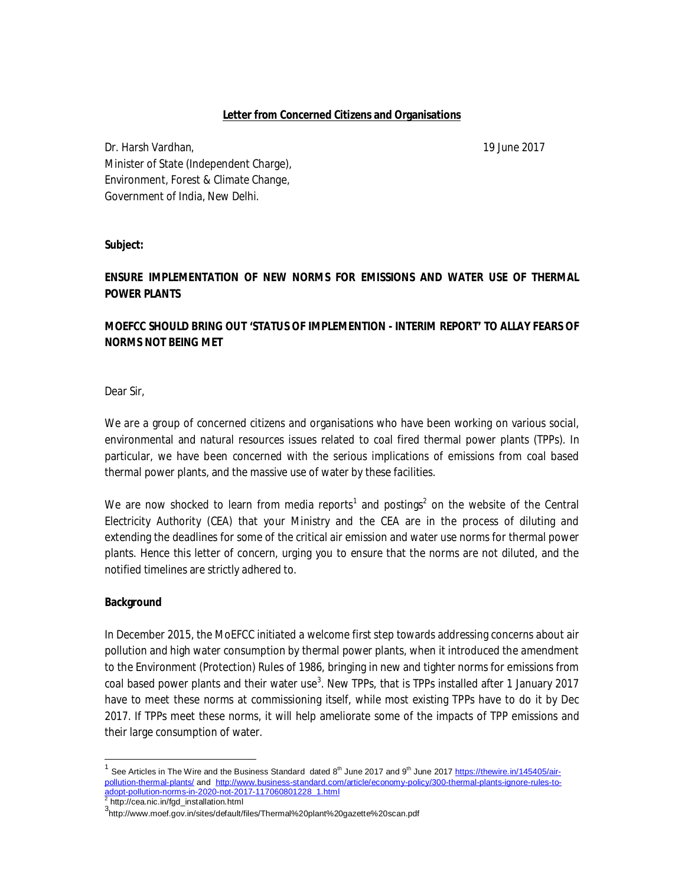#### **Letter from Concerned Citizens and Organisations**

Dr. Harsh Vardhan, 19 June 2017 Minister of State (Independent Charge), Environment, Forest & Climate Change, Government of India, New Delhi.

### **Subject:**

# **ENSURE IMPLEMENTATION OF NEW NORMS FOR EMISSIONS AND WATER USE OF THERMAL POWER PLANTS**

# **MOEFCC SHOULD BRING OUT 'STATUS OF IMPLEMENTION - INTERIM REPORT' TO ALLAY FEARS OF NORMS NOT BEING MET**

Dear Sir,

We are a group of concerned citizens and organisations who have been working on various social, environmental and natural resources issues related to coal fired thermal power plants (TPPs). In particular, we have been concerned with the serious implications of emissions from coal based thermal power plants, and the massive use of water by these facilities.

We are now shocked to learn from media reports<sup>1</sup> and postings<sup>2</sup> on the website of the Central Electricity Authority (CEA) that your Ministry and the CEA are in the process of diluting and extending the deadlines for some of the critical air emission and water use norms for thermal power plants. Hence this letter of concern, urging you to ensure that the norms are not diluted, and the notified timelines are strictly adhered to.

#### **Background**

In December 2015, the MoEFCC initiated a welcome first step towards addressing concerns about air pollution and high water consumption by thermal power plants, when it introduced the amendment to the Environment (Protection) Rules of 1986, bringing in new and tighter norms for emissions from coal based power plants and their water use<sup>3</sup>. New TPPs, that is TPPs installed after 1 January 2017 have to meet these norms at commissioning itself, while most existing TPPs have to do it by Dec 2017. If TPPs meet these norms, it will help ameliorate some of the impacts of TPP emissions and their large consumption of water.

 1 See Articles in The Wire and the Business Standard dated 8th June 2017 and 9th June 2017 [https://thewire.in/145405/air](https://thewire.in/145405/air-)pollution-thermal-plants/ and [http://www.business-standard.com/article/economy-policy/300-thermal-plants-ignore-rules-to](http://www.business-standard.com/article/economy-policy/300-thermal-plants-ignore-rules-to-)adopt-pollution-norms-in-2020-not-2017-117060801228\_1.html 2 [http://cea.nic.in/fgd\\_installation.html](http://cea.nic.in/fgd_installation.html)

<sup>3</sup> <http://www.moef.gov.in/sites/default/files/Thermal%20plant%20gazette%20scan.pdf>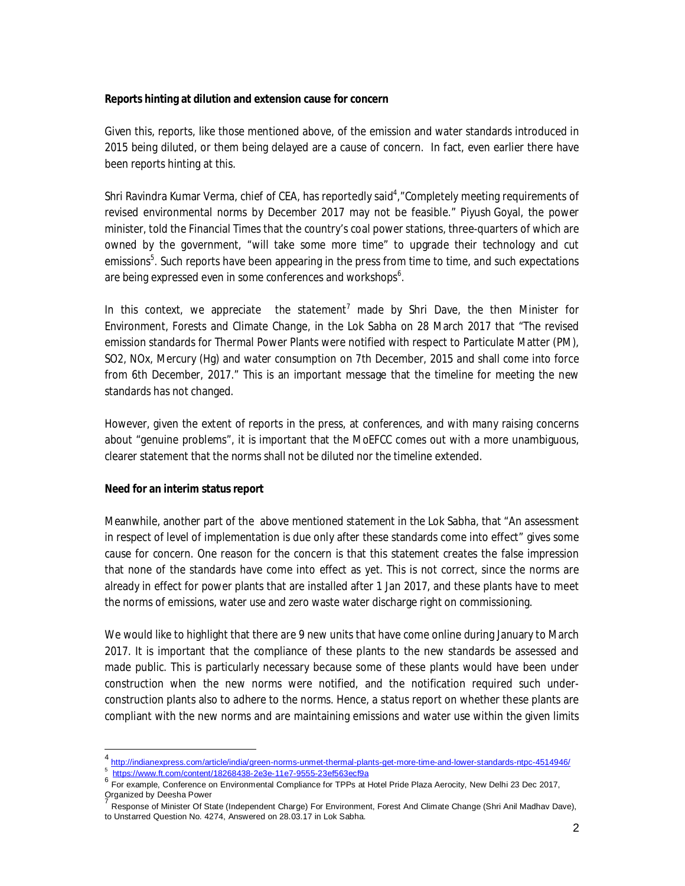### **Reports hinting at dilution and extension cause for concern**

Given this, reports, like those mentioned above, of the emission and water standards introduced in 2015 being diluted, or them being delayed are a cause of concern. In fact, even earlier there have been reports hinting at this.

Shri Ravindra Kumar Verma, chief of CEA, has reportedly said<sup>4</sup>, "Completely meeting requirements of revised environmental norms by December 2017 may not be feasible." Piyush Goyal, the power minister, told the Financial Times that the country's coal power stations, three-quarters of which are owned by the government, "will take some more time" to upgrade their technology and cut emissions<sup>5</sup>. Such reports have been appearing in the press from time to time, and such expectations are being expressed even in some conferences and workshops<sup>6</sup>.

In this context, we appreciate the statement<sup>7</sup> made by Shri Dave, the then Minister for Environment, Forests and Climate Change, in the Lok Sabha on 28 March 2017 that "The revised emission standards for Thermal Power Plants were notified with respect to Particulate Matter (PM), SO2, NOx, Mercury (Hg) and water consumption on 7th December, 2015 and shall come into force from 6th December, 2017." This is an important message that the timeline for meeting the new standards has not changed.

However, given the extent of reports in the press, at conferences, and with many raising concerns about "genuine problems", it is important that the MoEFCC comes out with a more unambiguous, clearer statement that the norms shall not be diluted nor the timeline extended.

#### **Need for an interim status report**

-

Meanwhile, another part of the above mentioned statement in the Lok Sabha, that "An assessment in respect of level of implementation is due only after these standards come into effect" gives some cause for concern. One reason for the concern is that this statement creates the false impression that none of the standards have come into effect as yet. This is not correct, since the norms are already in effect for power plants that are installed after 1 Jan 2017, and these plants have to meet the norms of emissions, water use and zero waste water discharge right on commissioning.

We would like to highlight that there are 9 new units that have come online during January to March 2017. It is important that the compliance of these plants to the new standards be assessed and made public. This is particularly necessary because some of these plants would have been under construction when the new norms were notified, and the notification required such underconstruction plants also to adhere to the norms. Hence, a status report on whether these plants are compliant with the new norms and are maintaining emissions and water use within the given limits

<https://www.ft.com/content/18268438-2e3e-11e7-9555-23ef563ecf9a>

<sup>4&</sup>lt;br><http://indianexpress.com/article/india/green-norms-unmet-thermal-plants-get-more-time-and-lower-standards-ntpc-4514946/><br>5 http://innu: ft.com/content/19269429\_2020\_1107\_0EEE\_22ofE62.cofOc

<sup>6</sup> For example, Conference on Environmental Compliance for TPPs at Hotel Pride Plaza Aerocity, New Delhi 23 Dec 2017,

Organized by Deesha Power Response of Minister Of State (Independent Charge) For Environment, Forest And Climate Change (Shri Anil Madhav Dave), to Unstarred Question No. 4274, Answered on 28.03.17 in Lok Sabha.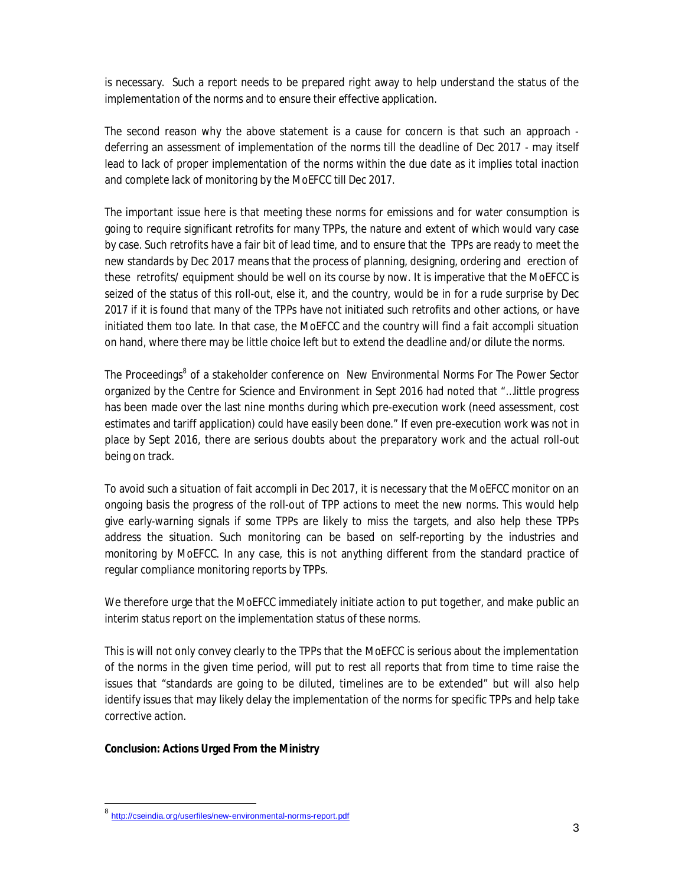is necessary. Such a report needs to be prepared right away to help understand the status of the implementation of the norms and to ensure their effective application.

The second reason why the above statement is a cause for concern is that such an approach deferring an assessment of implementation of the norms till the deadline of Dec 2017 - may itself lead to lack of proper implementation of the norms within the due date as it implies total inaction and complete lack of monitoring by the MoEFCC till Dec 2017.

The important issue here is that meeting these norms for emissions and for water consumption is going to require significant retrofits for many TPPs, the nature and extent of which would vary case by case. Such retrofits have a fair bit of lead time, and to ensure that the TPPs are ready to meet the new standards by Dec 2017 means that the process of planning, designing, ordering and erection of these retrofits/ equipment should be well on its course by now. It is imperative that the MoEFCC is seized of the status of this roll-out, else it, and the country, would be in for a rude surprise by Dec 2017 if it is found that many of the TPPs have not initiated such retrofits and other actions, or have initiated them too late. In that case, the MoEFCC and the country will find a *fait accompli* situation on hand, where there may be little choice left but to extend the deadline and/or dilute the norms.

The Proceedings<sup>8</sup> of a stakeholder conference on *New Environmental Norms For The Power Sector* organized by the Centre for Science and Environment in Sept 2016 had noted that "…little progress has been made over the last nine months during which pre-execution work (need assessment, cost estimates and tariff application) could have easily been done." If even pre-execution work was not in place by Sept 2016, there are serious doubts about the preparatory work and the actual roll-out being on track.

To avoid such a situation of *fait accompli* in Dec 2017, it is necessary that the MoEFCC monitor on an ongoing basis the progress of the roll-out of TPP actions to meet the new norms. This would help give early-warning signals if some TPPs are likely to miss the targets, and also help these TPPs address the situation. Such monitoring can be based on self-reporting by the industries and monitoring by MoEFCC. In any case, this is not anything different from the standard practice of regular compliance monitoring reports by TPPs.

We therefore urge that the MoEFCC immediately initiate action to put together, and make public an interim status report on the implementation status of these norms.

This is will not only convey clearly to the TPPs that the MoEFCC is serious about the implementation of the norms in the given time period, will put to rest all reports that from time to time raise the issues that "standards are going to be diluted, timelines are to be extended" but will also help identify issues that may likely delay the implementation of the norms for specific TPPs and help take corrective action.

## **Conclusion: Actions Urged From the Ministry**

-

<sup>8</sup> <http://cseindia.org/userfiles/new-environmental-norms-report.pdf>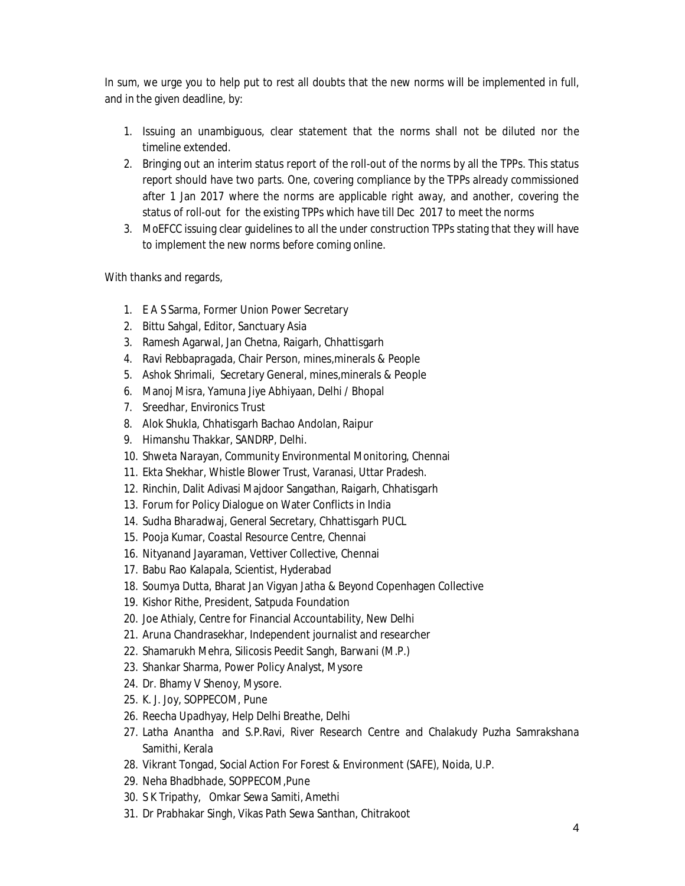In sum, we urge you to help put to rest all doubts that the new norms will be implemented in full, and in the given deadline, by:

- 1. Issuing an unambiguous, clear statement that the norms shall not be diluted nor the timeline extended.
- 2. Bringing out an interim status report of the roll-out of the norms by all the TPPs. This status report should have two parts. One, covering compliance by the TPPs already commissioned after 1 Jan 2017 where the norms are applicable right away, and another, covering the status of roll-out for the existing TPPs which have till Dec 2017 to meet the norms
- 3. MoEFCC issuing clear guidelines to all the under construction TPPs stating that they will have to implement the new norms before coming online.

With thanks and regards,

- 1. E A S Sarma, Former Union Power Secretary
- 2. Bittu Sahgal, Editor, Sanctuary Asia
- 3. Ramesh Agarwal, Jan Chetna, Raigarh, Chhattisgarh
- 4. Ravi Rebbapragada, Chair Person, mines,minerals & People
- 5. Ashok Shrimali, Secretary General, mines,minerals & People
- 6. Manoj Misra, Yamuna Jiye Abhiyaan, Delhi / Bhopal
- 7. Sreedhar, Environics Trust
- 8. Alok Shukla, Chhatisgarh Bachao Andolan, Raipur
- 9. Himanshu Thakkar, SANDRP, Delhi.
- 10. Shweta Narayan, Community Environmental Monitoring, Chennai
- 11. Ekta Shekhar, Whistle Blower Trust, Varanasi, Uttar Pradesh.
- 12. Rinchin, Dalit Adivasi Majdoor Sangathan, Raigarh, Chhatisgarh
- 13. Forum for Policy Dialogue on Water Conflicts in India
- 14. Sudha Bharadwaj, General Secretary, Chhattisgarh PUCL
- 15. Pooja Kumar, Coastal Resource Centre, Chennai
- 16. Nityanand Jayaraman, Vettiver Collective, Chennai
- 17. Babu Rao Kalapala, Scientist, Hyderabad
- 18. Soumya Dutta, Bharat Jan Vigyan Jatha & Beyond Copenhagen Collective
- 19. Kishor Rithe, President, Satpuda Foundation
- 20. Joe Athialy, Centre for Financial Accountability, New Delhi
- 21. Aruna Chandrasekhar, Independent journalist and researcher
- 22. Shamarukh Mehra, Silicosis Peedit Sangh, Barwani (M.P.)
- 23. Shankar Sharma, Power Policy Analyst, Mysore
- 24. Dr. Bhamy V Shenoy, Mysore.
- 25. K. J. Joy, SOPPECOM, Pune
- 26. Reecha Upadhyay, Help Delhi Breathe, Delhi
- 27. Latha Anantha and S.P.Ravi, River Research Centre and Chalakudy Puzha Samrakshana Samithi, Kerala
- 28. Vikrant Tongad, Social Action For Forest & Environment (SAFE), Noida, U.P.
- 29. Neha Bhadbhade, SOPPECOM,Pune
- 30. S K Tripathy, Omkar Sewa Samiti, Amethi
- 31. Dr Prabhakar Singh, Vikas Path Sewa Santhan, Chitrakoot